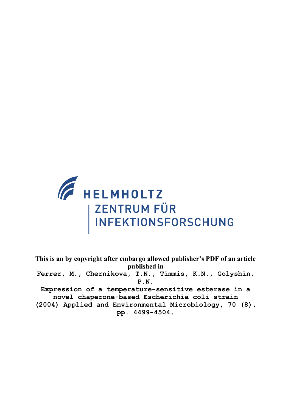

**This is an by copyright after embargo allowed publisher's PDF of an article published in Ferrer, M., Chernikova, T.N., Timmis, K.N., Golyshin, P.N. Expression of a temperature-sensitive esterase in a novel chaperone-based Escherichia coli strain (2004) Applied and Environmental Microbiology, 70 (8), pp. 4499-4504.**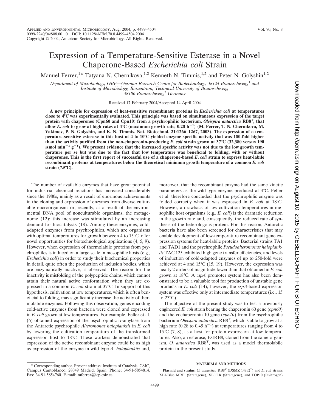# Expression of a Temperature-Sensitive Esterase in a Novel Chaperone-Based *Escherichia coli* Strain

Manuel Ferrer,<sup>1\*</sup> Tatyana N. Chernikova,<sup>1,2</sup> Kenneth N. Timmis,<sup>1,2</sup> and Peter N. Golyshin<sup>1,2</sup>

*Department of Microbiology, GBF—German Research Centre for Biotechnology, 38124 Braunschweig,*<sup>1</sup> *and Institute of Microbiology, Biozentrum, Technical University of Braunschweig, 38106 Braunschweig,*<sup>2</sup> *Germany*

Received 17 February 2004/Accepted 14 April 2004

**A new principle for expression of heat-sensitive recombinant proteins in** *Escherichia coli* **at temperatures close to 4°C was experimentally evaluated. This principle was based on simultaneous expression of the target protein with chaperones (Cpn60 and Cpn10) from a psychrophilic bacterium,** *Oleispira antarctica* **RB8T , that allow** *E. coli* **to grow at high rates at 4°C (maximum growth rate, 0.28 h<sup>1</sup> ) (M. Ferrer, T. N. Chernikova, M. Yakimov, P. N. Golyshin, and K. N. Timmis, Nat. Biotechnol. 21:1266–1267, 2003). The expression of a temperature-sensitive esterase in this host at 4 to 10°C yielded enzyme specific activity that was 180-fold higher than the activity purified from the non-chaperonin-producing** *E. coli* **strain grown at 37°C (32,380 versus 190**  $\mu$ mol min<sup>-1</sup> g<sup>-1</sup>). We present evidence that the increased specific activity was not due to the low growth tem**perature per se but was due to the fact that low temperature was beneficial to folding, with or without chaperones. This is the first report of successful use of a chaperone-based** *E. coli* **strain to express heat-labile recombinant proteins at temperatures below the theoretical minimum growth temperature of a common** *E. coli* **strain (7.5°C).**

The number of available enzymes that have great potential for industrial chemical reactions has increased considerably since the 1980s, mainly as a result of enormous achievements in the cloning and expression of enzymes from diverse culturable microorganisms or, recently, as a result of the environmental DNA pool of nonculturable organisms, the metagenome (12); this increase was stimulated by an increasing demand for biocatalysts (18). Among these enzymes, coldadapted enzymes from psychrophiles, which are organisms with optimal temperatures for growth between 4 to 15°C, offer novel opportunities for biotechnological applications (4, 5, 9). However, when expression of thermolabile proteins from psychrophiles is induced on a large scale in mesophilic hosts (e.g., *Escherichia coli*) in order to study their biochemical properties in detail, quite often the production of inclusion bodies, which are enzymatically inactive, is observed. The reason for the inactivity is misfolding of the polypeptide chains, which cannot attain their natural active conformation when they are expressed in a common *E. coli* strain at 37°C. In support of this hypothesis, cultivation at low temperatures, which is often beneficial to folding, may significantly increase the activity of thermolabile enzymes. Following this observation, genes encoding cold-active enzymes from bacteria were cloned and expressed in *E. coli* grown at low temperatures. For example, Feller et al. (6) obtained expression of the psychrophilic  $\alpha$ -amylase from the Antarctic psychrophile *Alteromonas haloplanktis* in *E. coli* by lowering the cultivation temperature of the transformed expression host to 18°C. These workers demonstrated that expression of the active recombinant enzyme could be as high as expression of the enzyme in wild-type *A. haloplanktis* and,

The objective of the present study was to test a previously engineered *E. coli* strain bearing the chaperonin 60 gene (*cpn60*) and the cochaperonin 10 gene (*cpn10*) from the psychrophilic bacterium *Oleispira antarctica* RB8T , which is able to grow at a high rate (0.28 to 0.45 h<sup>-1</sup>) at temperatures ranging from 4 to 15°C (7, 8), as a host for protein expression at low temperatures. Also, an esterase, EstRB8, cloned from the same organism, *O. antarctica* RB8<sup>T</sup>, was used as a model thermolabile protein in the present study.

#### **MATERIALS AND METHODS**

**Plasmid and strains.** *O. antarctica* RB8T (DSMZ 14852T) and *E. coli* strains XL1-Blue MRF (Stratagene), XLOLR (Stratagene), and TOP10 (Invitrogen)

moreover, that the recombinant enzyme had the same kinetic parameters as the wild-type enzyme produced at 4°C. Feller et al. therefore concluded that the psychrophilic enzyme was folded correctly when it was expressed in *E. coli* at 18°C. However, a drawback of low cultivation temperatures in mesophilic host organisms (e.g., *E. coli*) is the dramatic reduction in the growth rate and, consequently, the reduced rate of synthesis of the heterologous protein. For this reason, Antarctic bacteria have also been screened for characteristics that may enable development of low-temperature recombinant gene expression systems for heat-labile proteins. Bacterial strains TA1 and TAD1 and the psychrophile *Pseudoalteromonas haloplanktis* TAC 125 exhibited high gene transfer efficiencies, and levels of induction of cold-adapted enzymes of up to 250-fold were achieved at 4 and 15°C (15, 19). However, the expression was nearly 2 orders of magnitude lower than that obtained in *E. coli* grown at 18°C. A *cspA* promoter system has also been demonstrated to be a valuable tool for production of unstable gene products in *E. coli* (14); however, the *cspA*-based expression system was effective only at intermediate temperatures (i.e., 15 to 23°C).

<sup>\*</sup> Corresponding author. Present address: Institute of Catalysis, CSIC, Campus Cantoblanco, 28049 Madrid, Spain. Phone: 34-91-5854814. Fax: 34-91-5854760. E-mail: mferrer@icp.csic.es.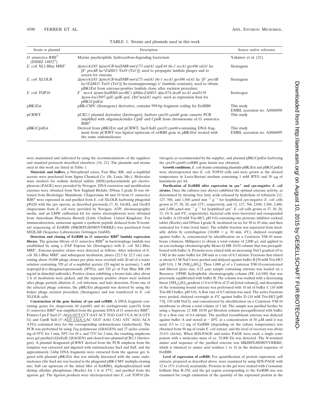| Strain or plasmid                                  | Description                                                                                                                                                                                                                                                                                   | Source and/or reference<br>Yakimov et al. (21) |  |
|----------------------------------------------------|-----------------------------------------------------------------------------------------------------------------------------------------------------------------------------------------------------------------------------------------------------------------------------------------------|------------------------------------------------|--|
| O. antarctica $RB8T$<br>(DSMZ 14852 <sup>T</sup> ) | Marine psychrophilic hydrocarbon-degrading bacterium                                                                                                                                                                                                                                          |                                                |  |
| E. coli XL1-Blue MRF'                              | $\Delta$ (mcrA)183 $\Delta$ (mcrCB-hsdSMR-mrr)173 endA1 supE44 thi-1 recA1 gyrA96 relA1 lac<br>$[F' \text{ } proAB \text{ } lac^qZ\Delta M15 \text{ } Th10 \text{ } (Tet^r)]$ ; used to propagate lambda phages and to<br>screen for esterase                                                 | Stratagene                                     |  |
| E. coli XLOLR                                      | $\Delta$ (mcrA)183 $\Delta$ (mcrCB-hsdSMR-mrr)173 endA1 thi-1 recA1 gyrA96 relA1 lac [F' proAB<br>$lac^{q}Z\Delta M15$ Tn10 (Tet <sup>r</sup> )] Su-(nonsuppressing) $\lambda^{r}$ (lambda resistant); used to obtain<br>pBK1Est from esterase-positive lambda clone after excision procedure | Stratagene                                     |  |
| E. coli TOP10                                      | $F^-$ mcrA $\Delta(mrr\text{-}hsdRMS\text{-}mcrBC)$ $\phi$ 80lacZ $\Delta$ M15 $\Delta$ lacX74 deoR recA1 araD139<br>$\Delta (ara$ -leu)7697 galU galK rpsL (Str <sup>r</sup> )endA1 nupG; used as expression host for<br>pBK1CpnEst                                                          | Invitrogen                                     |  |
| pBK1Est                                            | pBK-CMV (Stratagene) derivative; contains 999-bp fragment coding for EstRB8                                                                                                                                                                                                                   | This study<br>EMBL accession no. AJ606098      |  |
| pCRWT                                              | pCR2.1 plasmid derivative (Invitrogen); harbors <i>cpn10::cpn60</i> gene cassette PCR<br>amplified with oligonucleotides CpnF and CpnR from chromosome of O. antarctica<br>RBS <sup>T</sup>                                                                                                   | This study                                     |  |
| pBK1CpnEst                                         | Derived from pBK1Est and pCRWT; SacI-SaII cpn10::cpn60-containing DNA frag-<br>ment from pCRWT was ligated upstream of estRB8 gene in pBK1Est treated with<br>the same endonucleases                                                                                                          | This study<br>EMBL accession no. AJ606099      |  |

| TABLE 1. Strains and plasmids used in this work |  |  |  |  |  |  |  |  |
|-------------------------------------------------|--|--|--|--|--|--|--|--|
|-------------------------------------------------|--|--|--|--|--|--|--|--|

were maintained and cultivated by using the recommendations of the suppliers and standard protocols described elsewhere (16, 21). The plasmids and strains used in this work are listed in Table 1.

Materials and buffers.  $p$ -Nitrophenyl esters, Fast Blue RR, and  $\alpha$ -naphthyl acetate were purchased from Sigma Chemical Co. (St. Louis, Mo.). Molecular mass markers for sodium dodecyl sulfate (SDS)-polyacrylamide gel electrophoresis (PAGE) were provided by Novagen. DNA restriction and modification enzymes were obtained from New England Biolabs. DNase I grade II was obtained from Boehringer Mannheim. Chaperonins 60 and 10 from *O. antarctica* RB8<sup>T</sup> were expressed in and purified from *E. coli* XLOLR harboring phagemid pPst26 with the *cpn* operon, as described previously (7, 8). GroEL and GroES chaperonins from *E. coli* were provided by Novagen. ATP, chromatographic media, and an LMW calibration kit for native electrophoresis were obtained from Amersham Pharmacia Biotech (Little Chalfont, United Kingdom). For immunodetection, antiserum against a synthetic peptide deduced from N-terminal sequencing of EstRB8 (MKIRPLHDRIVVRRKE) was purchased from SEQLAB (Sequence Laboratories Göttingen GmbH).

**Detection and cloning of EstRB8 in** *O. antarctica* **RB8<sup>T</sup> lambda expression library.** The genome library of *O. antarctica* RB8<sup>T</sup> in bacteriophage lambda was established by using a ZAP Express kit (Stratagene) with *E. coli* XL1-Blue MRF. Esterase-positive clones were detected as follows. After infection of *E. coli* XL1-Blue MRF' and subsequent incubation, plates (22.5 by 22.5 cm) containing about 10,000 phage clones per plate were overlaid with 20 ml of a water solution containing 320  $\mu$ l of  $\alpha$ -naphthyl acetate (20 mg/ml in acetone), 5 mM isopropyl-8-p-thiogalactopyranoside (IPTG), and 320 µl of Fast Blue RR (80 mg/ml in dimethyl sulfoxide). Positive clones exhibiting a brown halo after about 2 h of incubation were picked, and the separate positive clones were isolated after phage particle dilution, *E. coli* infection, and halo detection. From one of the selected phage colonies, the pBK1Est phagemid was derived by using the helper phage excision procedure (Stratagene) and was transferred to *E. coli* XLOLR cells.

**Construction of the gene fusions of** *cpn* **and** *est***RB8.** A DNA fragment containing genes for chaperonin 60 (*cpn60*) and its cochaperonin (*cpn10*) from *O. antarctica* RB8<sup>T</sup> was amplified from the genomic DNA of *O. antarctica* RB8T. Primers Cpn F SacI (5'-AGA GCT CCT AAT ACT TGG GAT CCA ACA GTT G) and CpnR SalI (5-AGT CGA CAC GGT AAG CAG ATC AGG ACA ATG) contained sites for the corresponding endonucleases (underlined). The PCR was performed by using *Taq* polymerase (QIAGEN) and 27 cycles consisting of 95°C for 1 min, 50°C for 45 s, and 72°C for 2 min; the resulting amplicons were gel purified (QiaExII; QIAGEN) and cloned into plasmid pCR2.1 (Invitrogen). A plasmid designated pCRWT derived from the PCR amplicon from the template was extracted and digested with endonucleases SacI and SalI, and the approximately 2-kbp DNA fragments were extracted from the agarose gel, ligated with plasmid pBK1Est that was initially linearized with the same endonucleases (the SacI site was located in the phagemid pBK-CMV multiple-cloning site; SalI cut upstream of the initial Met of EstRB8), dephosphorylated with shrimp alkaline phosphatase (Roche) for 1 h at 37°C, and purified from the agarose gel. The ligation products were electroporated into *E. coli* TOP10 (Invitrogen) as recommended by the supplier, and plasmid pBK1CpnEst harboring the *cpn10*::*cpn60*::*est*RB8 gene fusion was obtained.

**Growth conditions.** *E. coli* strains containing plasmids pBK1Est and pBK1CpnEst were electroporated into *E. coli* TOP10 cells and were grown at the desired temperature in Luria-Bertani medium containing 1 mM IPTG and 50  $\mu$ g of kanamycin per ml.

**Purification of EstRB8 after expression in** *cpn* **and** *cpn***-negative** *E. coli* **strains.** Once the cultures (see above) exhibited the optimal esterase activity, as determined by titrating free fatty acids released by hydrolysis of tributyrin (12, 127, 504, and 1,560  $\mu$ mol min<sup>-1</sup> g<sup>-1</sup> for lyophilized *cpn*-negative *E. coli* cells grown at 37, 30, 20, and 15°C, respectively, and 12, 127, 768, 2,040, 2,304, 2,400, and 2,400  $\mu$ mol min<sup>-1</sup> g<sup>-1</sup> for lyophilized *cpn*<sup>+</sup> *E. coli* cells grown at 37, 30, 20, 15, 10, 8, and 4°C, respectively), bacterial cells were harvested and resuspended in buffer A (50 mM Tris-HCl, pH 9.0) containing one protease inhibitor cocktail tablet (Roche) and DNase I grade II, incubated on ice for 30 to 45 min, and then sonicated for 4 min (total time). The soluble fraction was separated from insoluble debris by centrifugation (10,000  $\times$  g, 30 min, 4°C), dialyzed overnight against buffer A, concentrated by ultrafiltration on a Centricon YM-10 membrane (Amicon, Millipore) to obtain a total volume of  $2,000$   $\mu$ l, and applied to an ion-exchange chromatography Mono-Q HR 10/10 column that was preequilibrated with buffer A. Proteins were eluted with an increasing NaCl gradient (0 to 1 M) in the same buffer for 200 min at a rate of 0.5 ml/min. Fractions that eluted at about 0.3 M NaCl were pooled and dialyzed against buffer B [50 mM Tris-HCl (pH 9.0), 1 M (NH<sub>4</sub>)<sub>2</sub>SO<sub>4</sub>]. Then 1,000  $\mu$ l of a Centricon YM-10-concentrated and filtered (pore size,  $0.22 \mu m$ ) sample containing esterase was loaded on a Resource 15PHE hydrophobic chromatography column (PE 4.6/100) that was previously equilibrated with buffer B. The column was washed with a decreasing linear  $(NH_4)_2SO_4$  gradient (1.0 to 0 M in of 25 ml [total volume]), and desorption of the remaining bound esterase was performed with 10 ml of buffer C (10 mM Tris-HCl buffer, pH 9.0). A flow rate of 0.5 ml/min was used. The active fractions were pooled, dialyzed overnight at 4°C against buffer D (10 mM Tris-HCl [pH 7.0], 150 mM NaCl), and concentrated by ultrafiltration on a Centricon YM-10 membrane to obtain a total volume of 1 ml. The sample was purified further by using a Superose 12 HR 10/30 gel filtration column preequilibrated with buffer D at a flow rate of 0.4 ml/min. The purified recombinant esterase was dialyzed against buffer A and stored at  $-20^{\circ}$ C at a concentration of 50  $\mu$ M until it was used; 0.5 to 1.2 mg of EstRB8 (depending on the culture temperature) was obtained from 94 mg of crude *E. coli* extract, and the level of recovery was about 25.6% (wt/wt). When SDS-PAGE and native PAGE were used, a single component with a molecular mass of ca. 35,000 Da was detected. The N-terminal amino acid sequence of the purified esterase was MKIRPLHDRIVVRRKE, which is identical to amino acid residues 1 to 16 in the deduced sequence of EstRB8.

**Level of expression of** *est***RB8.** For quantification of protein expression, cell extracts, prepared as described above, were examined by using SDS-PAGE with 12 to 15% (vol/vol) acrylamide. Proteins in the gel were stained with Coomassie brilliant blue R-250, and the gel region corresponding to the EstRB8 size was examined for rough estimation of the quantity of the expressed protein in the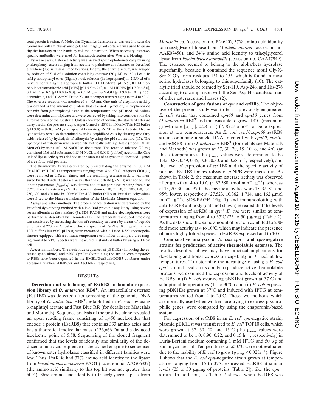total protein fraction. A Molecular Dynamics densitometer was used to scan the Coomassie brilliant blue-stained gel, and ImageQuant software was used to quantify the intensity of the bands by volume integration. When necessary, esterasespecific antibodies were used for immunodetection after Western blotting.

**Esterase assay.** Esterase activity was assayed spectrophotometrically by using *p*-nitrophenyl esters ranging from acetate to palmitate as substrates as described elsewhere (13), with small modifications. Briefly, the enzyme activity was assayed by addition of 5  $\mu$ l of a solution containing esterase (50  $\mu$ M) to 150  $\mu$ l of a 16 mM *p*-nitrophenyl ester (Sigma) stock solution (in isopropanol) in 2,850  $\mu$ l of a mixture containing the appropriate buffer (0.1 M citrate [pH 5.5], 0.1 M morpholineethanesulfonic acid [MES] [pH 5.5 to 7.0], 0.1 M HEPES [pH 7.0 to 8.0], 0.1 M Tris-HCl [pH 8.0 to 9.0], or 0.1 M glycine-NaOH [pH 9.0 to 10.5]), 15% acetonitrile, and 0.038 mM Triton X-100 at temperatures ranging from 4 to 50°C. The esterase reaction was monitored at 405 nm. One unit of enzymatic activity was defined as the amount of protein that released  $1 \mu$ mol of *p*-nitrophenoxide per min from *p*-nitrophenyl ester at the temperature and pH used. All values were determined in triplicate and were corrected by taking into consideration the autohydrolysis of the substrate. Unless indicated otherwise, the standard esterase assay used in the present study was performed at 20°C in 100 mM Tris-HCl buffer (pH 9.0) with 0.8 mM *p*-nitrophenyl butyrate (*p*-NPB) as the substrate. Hydrolytic activity was also determined by using lyophilized cells by titrating free fatty acids released by hydrolysis of tributyrin by using the pH-stat method (17). The hydrolysis of tributyrin was assayed titrimetrically with a pH-stat (model DL50; Mettler) by using 0.01 M NaOH as the titrant. The reaction mixture (20 ml) contained 65.6 mM substrate, 0.15 M NaCl, and 0.09% (vol/vol) acetonitrile. One unit of lipase activity was defined as the amount of enzyme that liberated  $1 \mu$ mol of free fatty acid per min.

The thermostability was estimated by preincubating the enzyme in 100 mM Tris-HCl (pH 9.0) at temperatures ranging from 4 to 50 $^{\circ}$ C. Aliquots (100  $\mu$ l) were removed at different times, and the remaining esterase activity was measured by the standard esterase assay after the substrate (*p*-NPB) was added. The kinetic parameter  $(k_{\text{cat}}/K_M)$  was determined at temperatures ranging from 4 to 70°C. The substrate was *p*-NPB at concentrations of 10, 25, 50, 75, 100, 150, 200, 250, 300, and 400 mM in 100 mM Tris-HCl buffer (pH 9.0). Initial velocity values were fitted to the Hanes transformation of the Michaelis-Menten equation.

**Assays and other methods.** The protein concentration was determined by the Bradford dye-binding method with a Bio-Rad protein assay kit by using bovine serum albumin as the standard (3). SDS-PAGE and native electrophoresis were performed as described by Laemmli (11). The temperature-induced unfolding was monitored by measuring the loss of secondary structure by means of peptide ellipticity at 220 nm. Circular dichroism spectra of EstRB8 (0.3 mg/ml) in Tris-HCl buffer (100 mM, pH 9.0) were measured with a Jasco J-720 spectropolarimeter equipped with a constant-temperature cell holder at temperatures ranging from 4 to 50°C. Spectra were measured in standard buffer by using a 0.1-cm cell.

**Accession numbers.** The nucleotide sequences of pBK1Est (harboring the esterase gene alone) and pBK1CpnEst (containing the fusion *cpn10*::*cpn60*:: *est*RB8) have been deposited in the EMBL/GenBank/DDBJ databases under accession numbers AJ606098 and AJ606099, respectively.

### **RESULTS**

**Detection and subcloning of EstRB8 in lambda expression library of** *O. antarctica* **RB8<sup>T</sup> .** An intracellular esterase (EstRB8) was detected after screening of the genomic DNA library of *O. antarctica* RB8T , established in *E. coli*, by using --naphthyl acetate and Fast Blue RR (for details see Materials and Methods). Sequence analysis of the positive clone revealed an open reading frame consisting of 1,450 nucleotides that encode a protein (EstRB8) that contains 333 amino acids and has a theoretical molecular mass of 36,666 Da and a deduced isoelectric point of 5.58. Sequencing of the cloned fragment confirmed that the levels of identity and similarity of the deduced amino acid sequence of the cloned enzyme to sequences of known ester hydrolases classified in different families were low. Thus, EstRB8 had 37% amino acid identity to the lipase from *Pseudomonas aeruginosa* PAO1 (accession no. AAG06337) (the amino acid similarity to this top hit was not greater than 50%), 36% amino acid identity to triacylglycerol lipase from

*Moraxella* sp. (accession no. P24640), 37% amino acid identity to triacylglycerol lipase from *Moritella marina* (accession no. AAK07450), and 34% amino acid identity to triacylglycerol lipase from *Psychrobacter immobilis* (accession no. CAA47949). The esterase seemed to belong to the alpha/beta hydrolase superfamily, because it contained the sequence motif Gly-X-Ser-X-Gly from residues 151 to 155, which is found in most serine hydrolases belonging to this superfamily (10). The catalytic triad should be formed by Ser-119, Asp-248, and His-276 according to a comparison with the Ser-Asp-His catalytic triad of other esterases and lipases (2).

**Construction of gene fusions of** *cpn* **and** *est***RB8.** The objective of the present study was to test a previously engineered *E. coli* strain that contained *cpn60* and *cpn10* genes from *O. antarctica*  $RB8<sup>T</sup>$  and that was able to grow at  $4<sup>°</sup>C$  (maximum growth rate  $\lbrack \mu_{\max} \rbrack$ , 0.28 h<sup>-1</sup>) (7, 8) as a host for gene expression at low temperatures. An *E. coli cpn10*::*cpn60*::*est*RB8 strain containing a single DNA fragment with *cpn60*, *cpn10*, and *est*RB8 from *O. antarctica* RB8T (for details see Materials and Methods) was grown at 37, 30, 20, 15, 10, 8, and 4°C (at these temperatures the  $\mu_{\text{max}}$  values were determined to be 1.42, 0.88, 0.49, 0.45, 0.36, 0.30, and 0.28  $h^{-1}$ , respectively), and the level of expression of *est*RB8 and the specific activity of purified EstRB8 for hydrolysis of *p*-NPB were measured. As shown in Table 2, the maximum esterase activity was observed after growth at 4 to 10°C ( $\sim$ 32,380  $\mu$ mol min<sup>-1</sup> g<sup>-1</sup>), whereas at 15, 20, 30, and 37°C the specific activities were 15, 32, 81, and 95% lower, respectively (27,523, 10,362, 1,714, and 162  $\mu$ mol  $\min^{-1}$  g<sup>-1</sup>). SDS-PAGE (Fig. 1) and immunoblotting with anti-EstRB8 antibody (data not shown) revealed that the levels of expression of *est*RB8 in *cpn E. coli* were similar at temperatures ranging from 4 to 37 $\degree$ C (25 to 50  $\mu$ g/mg) (Table 2). As the data show, the same amount of protein exhibited to 200 fold more activity at 4 to 10°C, which may indicate the presence of more highly folded species in EstRB8 expressed at 4 to 10°C.

Comparative analysis of  $E$ ,  $\text{coli } \text{c} \text{p} \text{n}^+$  and  $\text{c} \text{p} \text{n}$ -negative **strains for production of active thermolabile esterase.** The results described above may have practical implications for developing additional expression capability in *E. coli* at low temperatures. To determine the advantage of using a *E. coli*  $cpn<sup>+</sup>$  strain based on its ability to produce active thermolabile proteins, we examined the expression and levels of activity of EstRB8 in (i) *E. coli* expressing pBK1Est grown at 37°C and suboptimal temperatures (15 to 30°C) and (ii) *E. coli* expressing pBK1Est grown at 37°C and induced with IPTG at temperatures shifted from 4 to 20°C. These two methods, which are normally used when workers are trying to express psychrophilic genes, were compared by using the chaperonin-based system.

For expression of *est*RB8 in an *E. coli cpn*-negative strain, plasmid pBK1Est was transferred to *E. coli* TOP10 cells, which were grown at 37, 30, 20, and 15 $^{\circ}$ C (the  $\mu_{\text{max}}$  values were determined to be 1.0, 0.90, 0.22, and 0.15  $h^{-1}$ , respectively) in Luria-Bertani medium containing 1 mM IPTG and 50  $\mu$ g of kanamycin per ml. Temperatures of  $\leq 10^{\circ}$ C were not evaluated due to the inability of E. coli to grow ( $\mu_{\text{max}}$ , <0.02 h<sup>-1</sup>). Figure 1 shows that the *E. coli cpn*-negative strain grown at temperatures ranging from 15 to 37°C expressed EstRB8 at similar levels (25 to 50  $\mu$ g/mg of proteins [Table 2]), like the *cpn*<sup>+</sup> strain. In addition, as Table 2 shows, when EstRB8 was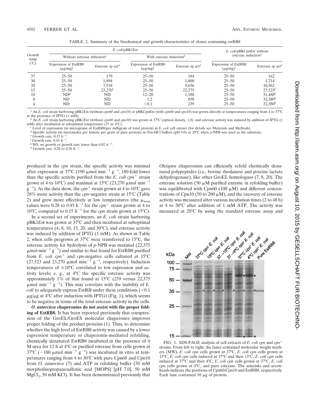| Growth<br>temp<br>$(^{\circ}C)$ |                                         | E. coli/pBK1Est    | E. coli/pBKCpnEst without              |                    |                                              |                     |  |
|---------------------------------|-----------------------------------------|--------------------|----------------------------------------|--------------------|----------------------------------------------|---------------------|--|
|                                 | Without esterase induction <sup>a</sup> |                    | With esterase induction <sup>b</sup>   |                    | esterase induction <sup><math>a</math></sup> |                     |  |
|                                 | Expression of EstRB8<br>$(\mu g/mg)^c$  | Esterase sp $actd$ | Expression of EstRB8<br>$(\mu g/mg)^c$ | Esterase sp $actd$ | Expression of EstRB8<br>$(\mu g/mg)^c$       | Esterase sp $actd$  |  |
| 37                              | $25 - 50$                               | 179                | $25 - 50$                              | 184                | $25 - 50$                                    | 162                 |  |
| 30                              | $25 - 50$                               | 1,894              | $25 - 50$                              | 1,800              | $25 - 50$                                    | 1,714               |  |
| 20                              | $25 - 50$                               | 7.518              | $25 - 50$                              | 9.636              | $25 - 50$                                    | 10,362              |  |
| 15                              | $25 - 50$                               | $23.270^e$         | $25 - 50$                              | 22,375             | $25 - 50$                                    | $27,523^{f}$        |  |
| 10                              | ND <sup>g</sup>                         | ND.                | $12 - 20$                              | 1,188              | $25 - 50$                                    | $31,488^h$          |  |
| 8                               | ND.                                     | ND.                | 1.2                                    | 850                | $25 - 50$                                    | 32,380 <sup>h</sup> |  |
|                                 | ND                                      | ND                 | < 0.1                                  | 239                | $25 - 50$                                    | 32,380 <sup>h</sup> |  |

TABLE 2. Summary of the biochemical and growth characteristics of clones containing *est*RB8

*<sup>a</sup>* An *E. coli* strain harboring pBK1Est (without *cpn60* and *cpn10*) or pBKCpnEst (with *cpn60* and *cpn10*) was grown directly at temperatures ranging from 4 to 37°C

An *E. coli* strain harboring pBK1Est (without *cpn60* and *cpn10*) was grown at 37°C (optical density, 1.0), and esterase activity was induced by addition of IPTG (1

mM) after incubation at suboptimal temperature (37 to 4°C).<br>
<sup>c</sup> Level of expression (in micrograms of EstRB8/per milligram of total protein) in *E. coli* cell extract (for details see Materials and Methods).<br>
<sup>d</sup> Specifi

 $f$  Growth rate, 0.45 h<sup>-1</sup>.

 $^f$  Growth rate, 0.45 h<sup>-1</sup>.<br><sup>g</sup> ND, no growth or growth rate lower than 0.02 h<sup>-1</sup> <sup>g</sup> ND, no growth or growth rate lower than  $0.02 h^{-1}$ .<br><sup>h</sup> Growth rate, 0.28 to 0.36  $h^{-1}$ .

.

produced in the *cpn* strain, the specific activity was minimal after expression at 37°C (190  $\mu$ mol min<sup>-1</sup> g<sup>-1</sup>, 180-fold lower than the specific activity purified from the  $E$ . *coli cpn*<sup>+</sup> strain grown at 4 to 10°C) and maximal at 15°C (23,270  $\mu$ mol min<sup>-1</sup>  $\mathrm{g}^{-1}$ ). As the data show, the *cpn*<sup>+</sup> strain grown at 4 to 10°C gave 28% more activity than the *cpn*-negative strain at 15°C (Table 2) and grew more effectively at low temperatures (the  $\mu_{\text{max}}$ values were 0.28 to 0.45 h<sup>-1</sup> for the  $cpn^+$  strain grown at 4 to 10°C, compared to 0.15 h<sup>-1</sup> for the *cpn* strain grown at 15°C).

In a second set of experiments, an *E. coli* strain harboring pBK1Est was grown at 37°C and then incubated at suboptimal temperatures (4, 8, 10, 15, 20, and 30°C), and esterase activity was induced by addition of IPTG (1 mM). As shown in Table 2, when cells pregrown at 37°C were transferred to 15°C, the esterase activity for hydrolysis of *p*-NPB was maximal (22,375  $\mu$ mol min<sup>-1</sup> g<sup>-1</sup>) and similar to that found for EstRB8 purified from *E. coli cpn*<sup>+</sup> and *cpn*-negative cells cultured at  $15^{\circ}$ C (27,523 and 23,270  $\mu$ mol min<sup>-1</sup> g<sup>-1</sup>, respectively). Induction temperatures of  $\leq 10^{\circ}$ C correlated to low expression and activity levels; e. g., at 4°C the specific esterase activity was approximately 1% of that found at 15°C (239 versus 22,375  $\mu$ mol min<sup>-1</sup> g<sup>-1</sup>). This may correlate with the inability of *E*. *coli* to adequately express EstRB under these conditions  $\left($  < 0.1  $\mu$ g/ $\mu$ g at 4°C after induction with IPTG) (Fig. 1), which seems to be negative in terms of the total esterase activity in the cells.

*O. antarctica* **chaperonins do not assist with the proper folding of EstRB8.** It has been reported previously that coexpression of the GroEL/GroES molecular chaperones improves proper folding of the product proteins (1). Thus, to determine whether the high level of EstRB8 activity was caused by a lower expression temperature or chaperonin-mediated refolding, chemically denatured EstRB8 incubated in the presence of 6 M urea for 12 h at 4°C or purified esterase from cells grown at 37°C (~180 µmol min<sup>-1</sup>  $g^{-1}$ ) was incubated in vitro at temperatures ranging from 4 to 30°C with pure Cpn60 and Cpn10 from *O. antarctica* (7) and ATP in refolding buffer (50 mM morpholinepropanesulfonic acid [MOPS] [pH 7.0], 50 mM  $MgCl<sub>2</sub>$ , 50 mM KCl). It has been demonstrated previously that

*Oleispira* chaperonins can efficiently refold chemically denatured polypeptides (i.e., bovine rhodanese and porcine lactate dehydrogenase), like other GroEL homologues (7, 8, 20). The esterase solution (50  $\mu$ M purified enzyme in refolding buffer) was equilibrated with Cpn60 (100  $\mu$ M) and different concentrations of Cpn10 (50 to 200  $\mu$ M), and the recovery of esterase activity was measured after various incubation times (2 to 48 h) at 4 to 30°C after addition of 1 mM ATP. The activity was measured at 20°C by using the standard esterase assay and



FIG. 1. SDS-PAGE analysis of cell extracts of *E. coli cpn* and *cpn* strains. From left to right, the lanes contained molecular weight markers (MW), *E. coli cpn* cells grown at 37°C, *E. coli cpn* cells grown at 15°C, *E. coli cpn* cells induced at 37°C and then 15°C, *E. coli cpn* cells induced at 37°C and then 4°C, *E. coli cpn* cells grown at 37°C, *E. coli cpn* cells grown at 4°C, and pure esterase. The asterisks and arrowheads indicate the positions of Cpn60/Cpn10 and EstRB8, respectively. Each lane contained  $10 \mu$ g of protein.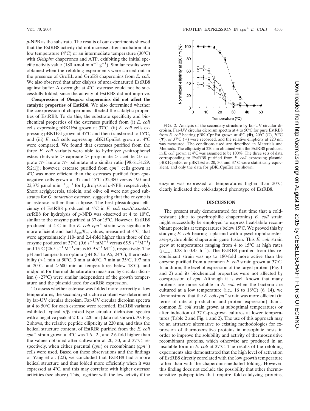*p*-NPB as the substrate. The results of our experiments showed that the EstRB8 activity did not increase after incubation at a low temperature (4°C) or an intermediate temperature (30°C) with *Oleispira* chaperones and ATP, exhibiting the initial specific activity value (180  $\mu$ mol min<sup>-1</sup> g<sup>-1</sup>). Similar results were obtained when the refolding experiments were carried out in the presence of GroEL and GroES chaperonins from *E. coli*. We also observed that after dialysis of urea-denatured EstRB8 against buffer A overnight at 4°C, esterase could not be successfully folded, since the activity of EstRB8 did not improve.

**Coexpression of** *Oleispira* **chaperonins did not affect the catalytic properties of EstRB8.** We also determined whether the coexpression of chaperonins affected the catalytic properties of EstRB8. To do this, the substrate specificity and biochemical properties of the esterases purified from (i) *E. coli* cells expressing pBK1Est grown at 37°C, (ii) *E. coli* cells expressing pBK1Est grown at 37°C and then transferred to 15°C, and (iii) *E. coli* cells expressing pBK1CpnEst grown at 4°C were compared. We found that esterases purified from the three *E. coli* variants were able to hydrolyze *p*-nitrophenyl esters (butyrate  $>$  caproate  $>$  propionate  $>$  acetate  $\gg$  caprate  $\gg$  laurate  $\gg$  palmitate at a similar ratio [98:61:31:29: 5:2:1]); however, esterase purified from  $cpn$ <sup>+</sup> cells grown at 4°C was more efficient than the esterases purified from *cpn*negative cells grown at 37 and 15°C (32,380 versus 190 and 22,375  $\mu$ mol min<sup>-1</sup> g<sup>-1</sup> for hydrolysis of *p*-NPB, respectively). Short acylglycerols, triolein, and olive oil were not good substrates for *O. antarctica* esterase, suggesting that the enzyme is an esterase rather than a lipase. The best physiological efficiency of EstRB8 produced at 4°C in *E. coli cpn10*::*cpn60*:: *est*RB8 for hydrolysis of *p*-NPB was observed at 4 to 10°C, similar to the enzyme purified at 37 or 15°C. However, EstRB8 produced at  $4^{\circ}$ C in the *E. coli cpn*<sup>+</sup> strain was significantly more efficient and had  $k_{\text{cat}}/K_m$  values, measured at 4°C, that were approximately 110- and 2.4-fold higher than those of the enzyme produced at 37°C (0.6 s<sup>-1</sup> mM<sup>-1</sup> versus 65.9 s<sup>-1</sup>M<sup>-1</sup>) and  $15^{\circ}$ C (26.5 s<sup>-1</sup> M<sup>-1</sup> versus 65.9 s<sup>-1</sup> M<sup>-1</sup>), respectively. The pH and temperature optima (pH 8.5 to 9.5, 24°C), thermostability ( $\leq$ 1 min at 50°C, 3 min at 40°C, 7 min at 35°C, 197 min at  $20^{\circ}$ C, and  $>600$  min at temperatures below 18 $^{\circ}$ C), and midpoint for thermal denaturation measured by circular dicroism  $(\sim 27^{\circ}C)$  were similar independent of the growth temperature and the plasmid used for *est*RB8 expression.

To assess whether esterase was folded more correctly at low temperatures, the secondary-structure content was determined by far-UV circular dicroism. Far-UV circular dicroism spectra at 4 to 50°C for each esterase were recorded. EstRB8 variants exhibited typical  $\alpha/\beta$  mixed-type circular dichroism spectra with a negative peak at 210 to 220 nm (data not shown). As Fig. 2 shows, the relative peptide ellipticity at 220 nm, and thus the helical structure content, of EstRB8 purified from the *E. coli cpn*<sup>+</sup> strain grown at  $4^{\circ}$ C was 1.6-, 2-, and 2.6-fold higher than the values obtained after cultivation at 20, 30, and 37°C, respectively, when either parental  $(cpn)$  or recombinant  $(cpn^+)$ cells were used. Based on these observations and the findings of Yang et al. (22), we concluded that EstRB8 had a more helical structure and thus folded more efficiently when it was expressed at 4°C, and this may correlate with higher esterase activities (see above). This, together with the low activity if the



FIG. 2. Analysis of the secondary structure by far-UV circular dicroism. Far-UV circular dicroism spectra at 4 to 50°C for pure EstRB8 from *E. coli* bearing pBK1CpnEst grown at 4°C (<sup>•</sup>), 20°C (○), 30°C  $(\nabla)$ , or 37°C ( $\nabla$ ) were recorded, and the relative ellipticity at 220 nm was measured. The conditions used are described in Materials and Methods. The ellipticity at 220 nm obtained with the EstRB8 produced in *E. coli* grown at 4°C was assumed to be 100%. The three sets of data corresponding to EstRB8 purified from *E. coli* expressing plasmid pBK1CpnEst or pBK1Est at 20, 30, and 37°C were statistically equivalent, and only the data for pBK1CpnEst are shown.

enzyme was expressed at temperatures higher than 20°C, clearly indicated the cold-adapted phenotype of EstRB8.

## **DISCUSSION**

The present study demonstrated for first time that a coldresistant (due to psychrophilic chaperonins) *E. coli* strain might successfully be employed to express heat-labile recombinant proteins at temperatures below 15°C. We proved this by studying *E. coli* bearing a plasmid with a psychrophilic esterase-psychrophilic chaperonin gene fusion. This *E. coli* strain grew at temperatures ranging from 4 to 15°C at high rates  $(\mu_{\text{max}}$ , 0.28 to 0.45 h<sup>-1</sup>). The EstRB8 purified from this recombinant strain was up to 180-fold more active than the enzyme purified from a common *E. coli* strain grown at 37°C. In addition, the level of expression of the target protein (Fig. 1 and 2) and its biochemical properties were not affected by coexpression of *cpn*. Although it is well known that many proteins are more soluble in *E. coli* when the bacteria are cultured at a low temperature (i.e., 16 to 18 $^{\circ}$ C) (6, 14), we demonstrated that the *E. coli cpn*<sup>+</sup> strain was more efficient (in terms of rate of production and protein expression) than a common *E. coli* strain grown at suboptimal temperatures or after induction of 37°C-pregrown cultures at lower temperatures (Table 2 and Fig. 1 and 2). The use of this approach may be an attractive alternative to existing methodologies for expression of thermosensitive proteins in mesophilic hosts in order to improve the solubility and activity of thermosensitive recombinant proteins, which otherwise are produced in an insoluble form in *E. coli* at 37°C. The results of the refolding experiments also demonstrated that the high level of activation of EstRB8 directly correlated with the low growth temperature rather than with the chaperonin-mediated folding. However, this finding does not exclude the possibility that other thermosensitive polypeptides that require fold-catalyzing proteins,